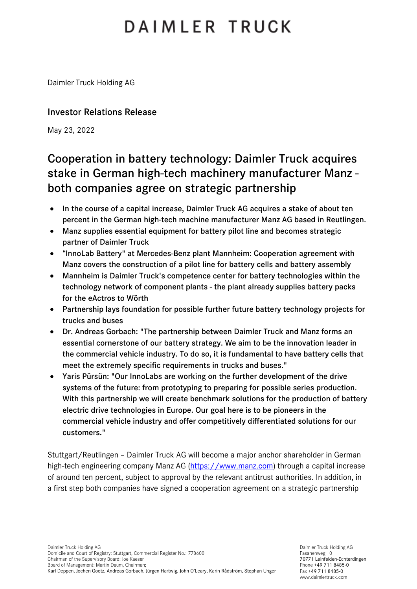# DAIMLER TRUCK

Daimler Truck Holding AG

### Investor Relations Release

May 23, 2022

## Cooperation in battery technology: Daimler Truck acquires stake in German high-tech machinery manufacturer Manz both companies agree on strategic partnership

- In the course of a capital increase, Daimler Truck AG acquires a stake of about ten percent in the German high-tech machine manufacturer Manz AG based in Reutlingen.
- Manz supplies essential equipment for battery pilot line and becomes strategic partner of Daimler Truck
- "InnoLab Battery" at Mercedes-Benz plant Mannheim: Cooperation agreement with Manz covers the construction of a pilot line for battery cells and battery assembly
- Mannheim is Daimler Truck's competence center for battery technologies within the technology network of component plants - the plant already supplies battery packs for the eActros to Wörth
- Partnership lays foundation for possible further future battery technology projects for trucks and buses
- Dr. Andreas Gorbach: "The partnership between Daimler Truck and Manz forms an essential cornerstone of our battery strategy. We aim to be the innovation leader in the commercial vehicle industry. To do so, it is fundamental to have battery cells that meet the extremely specific requirements in trucks and buses."
- Yaris Pürsün: "Our InnoLabs are working on the further development of the drive systems of the future: from prototyping to preparing for possible series production. With this partnership we will create benchmark solutions for the production of battery electric drive technologies in Europe. Our goal here is to be pioneers in the commercial vehicle industry and offer competitively differentiated solutions for our customers."

Stuttgart/Reutlingen – Daimler Truck AG will become a major anchor shareholder in German high-tech engineering company Manz AG [\(https://www.manz.com\)](https://www.manz.com/) through a capital increase of around ten percent, subject to approval by the relevant antitrust authorities. In addition, in a first step both companies have signed a cooperation agreement on a strategic partnership

Daimler Truck Holding AG Fasanenweg 10 70771 Leinfelden-Echterdingen Phone +49 711 8485-0 Fax +49 711 8485-0 www.daimlertruck.com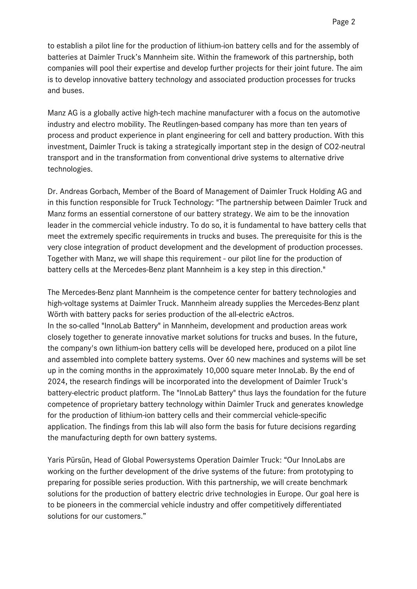to establish a pilot line for the production of lithium-ion battery cells and for the assembly of batteries at Daimler Truck's Mannheim site. Within the framework of this partnership, both companies will pool their expertise and develop further projects for their joint future. The aim is to develop innovative battery technology and associated production processes for trucks and buses.

Manz AG is a globally active high-tech machine manufacturer with a focus on the automotive industry and electro mobility. The Reutlingen-based company has more than ten years of process and product experience in plant engineering for cell and battery production. With this investment, Daimler Truck is taking a strategically important step in the design of CO2-neutral transport and in the transformation from conventional drive systems to alternative drive technologies.

Dr. Andreas Gorbach, Member of the Board of Management of Daimler Truck Holding AG and in this function responsible for Truck Technology: "The partnership between Daimler Truck and Manz forms an essential cornerstone of our battery strategy. We aim to be the innovation leader in the commercial vehicle industry. To do so, it is fundamental to have battery cells that meet the extremely specific requirements in trucks and buses. The prerequisite for this is the very close integration of product development and the development of production processes. Together with Manz, we will shape this requirement - our pilot line for the production of battery cells at the Mercedes-Benz plant Mannheim is a key step in this direction."

The Mercedes-Benz plant Mannheim is the competence center for battery technologies and high-voltage systems at Daimler Truck. Mannheim already supplies the Mercedes-Benz plant Wörth with battery packs for series production of the all-electric eActros. In the so-called "InnoLab Battery" in Mannheim, development and production areas work closely together to generate innovative market solutions for trucks and buses. In the future, the company's own lithium-ion battery cells will be developed here, produced on a pilot line and assembled into complete battery systems. Over 60 new machines and systems will be set up in the coming months in the approximately 10,000 square meter InnoLab. By the end of 2024, the research findings will be incorporated into the development of Daimler Truck's battery-electric product platform. The "InnoLab Battery" thus lays the foundation for the future competence of proprietary battery technology within Daimler Truck and generates knowledge for the production of lithium-ion battery cells and their commercial vehicle-specific application. The findings from this lab will also form the basis for future decisions regarding the manufacturing depth for own battery systems.

Yaris Pürsün, Head of Global Powersystems Operation Daimler Truck: "Our InnoLabs are working on the further development of the drive systems of the future: from prototyping to preparing for possible series production. With this partnership, we will create benchmark solutions for the production of battery electric drive technologies in Europe. Our goal here is to be pioneers in the commercial vehicle industry and offer competitively differentiated solutions for our customers."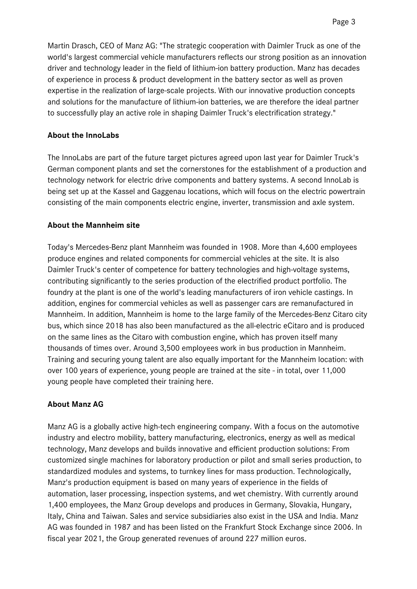Martin Drasch, CEO of Manz AG: "The strategic cooperation with Daimler Truck as one of the world's largest commercial vehicle manufacturers reflects our strong position as an innovation driver and technology leader in the field of lithium-ion battery production. Manz has decades of experience in process & product development in the battery sector as well as proven expertise in the realization of large-scale projects. With our innovative production concepts and solutions for the manufacture of lithium-ion batteries, we are therefore the ideal partner to successfully play an active role in shaping Daimler Truck's electrification strategy."

#### **About the InnoLabs**

The InnoLabs are part of the future target pictures agreed upon last year for Daimler Truck's German component plants and set the cornerstones for the establishment of a production and technology network for electric drive components and battery systems. A second InnoLab is being set up at the Kassel and Gaggenau locations, which will focus on the electric powertrain consisting of the main components electric engine, inverter, transmission and axle system.

#### **About the Mannheim site**

Today's Mercedes-Benz plant Mannheim was founded in 1908. More than 4,600 employees produce engines and related components for commercial vehicles at the site. It is also Daimler Truck's center of competence for battery technologies and high-voltage systems, contributing significantly to the series production of the electrified product portfolio. The foundry at the plant is one of the world's leading manufacturers of iron vehicle castings. In addition, engines for commercial vehicles as well as passenger cars are remanufactured in Mannheim. In addition, Mannheim is home to the large family of the Mercedes-Benz Citaro city bus, which since 2018 has also been manufactured as the all-electric eCitaro and is produced on the same lines as the Citaro with combustion engine, which has proven itself many thousands of times over. Around 3,500 employees work in bus production in Mannheim. Training and securing young talent are also equally important for the Mannheim location: with over 100 years of experience, young people are trained at the site - in total, over 11,000 young people have completed their training here.

#### **About Manz AG**

Manz AG is a globally active high-tech engineering company. With a focus on the automotive industry and electro mobility, battery manufacturing, electronics, energy as well as medical technology, Manz develops and builds innovative and efficient production solutions: From customized single machines for laboratory production or pilot and small series production, to standardized modules and systems, to turnkey lines for mass production. Technologically, Manz's production equipment is based on many years of experience in the fields of automation, laser processing, inspection systems, and wet chemistry. With currently around 1,400 employees, the Manz Group develops and produces in Germany, Slovakia, Hungary, Italy, China and Taiwan. Sales and service subsidiaries also exist in the USA and India. Manz AG was founded in 1987 and has been listed on the Frankfurt Stock Exchange since 2006. In fiscal year 2021, the Group generated revenues of around 227 million euros.